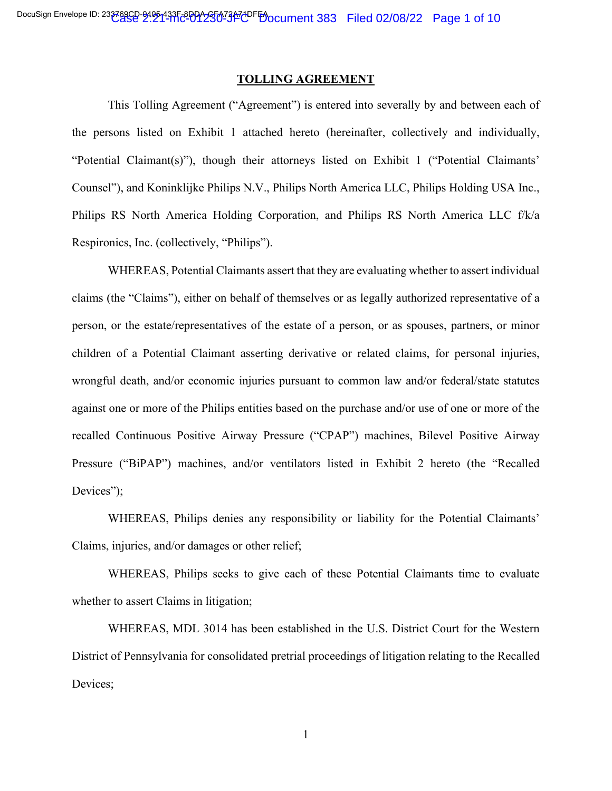#### **TOLLING AGREEMENT**

This Tolling Agreement ("Agreement") is entered into severally by and between each of the persons listed on Exhibit 1 attached hereto (hereinafter, collectively and individually, "Potential Claimant(s)"), though their attorneys listed on Exhibit 1 ("Potential Claimants' Counsel"), and Koninklijke Philips N.V., Philips North America LLC, Philips Holding USA Inc., Philips RS North America Holding Corporation, and Philips RS North America LLC f/k/a Respironics, Inc. (collectively, "Philips").

WHEREAS, Potential Claimants assert that they are evaluating whether to assert individual claims (the "Claims"), either on behalf of themselves or as legally authorized representative of a person, or the estate/representatives of the estate of a person, or as spouses, partners, or minor children of a Potential Claimant asserting derivative or related claims, for personal injuries, wrongful death, and/or economic injuries pursuant to common law and/or federal/state statutes against one or more of the Philips entities based on the purchase and/or use of one or more of the recalled Continuous Positive Airway Pressure ("CPAP") machines, Bilevel Positive Airway Pressure ("BiPAP") machines, and/or ventilators listed in Exhibit 2 hereto (the "Recalled Devices");

WHEREAS, Philips denies any responsibility or liability for the Potential Claimants' Claims, injuries, and/or damages or other relief;

WHEREAS, Philips seeks to give each of these Potential Claimants time to evaluate whether to assert Claims in litigation;

WHEREAS, MDL 3014 has been established in the U.S. District Court for the Western District of Pennsylvania for consolidated pretrial proceedings of litigation relating to the Recalled Devices;

1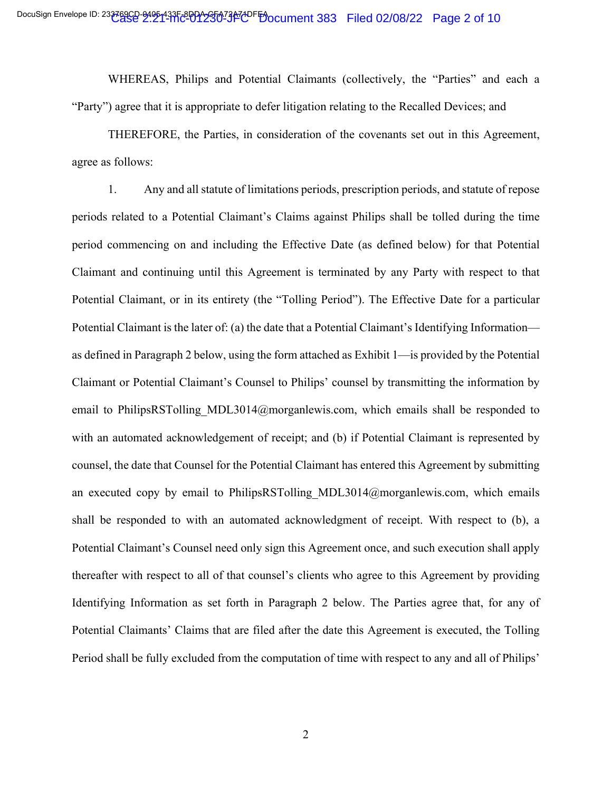WHEREAS, Philips and Potential Claimants (collectively, the "Parties" and each a "Party") agree that it is appropriate to defer litigation relating to the Recalled Devices; and

THEREFORE, the Parties, in consideration of the covenants set out in this Agreement, agree as follows:

1. Any and all statute of limitations periods, prescription periods, and statute of repose periods related to a Potential Claimant's Claims against Philips shall be tolled during the time period commencing on and including the Effective Date (as defined below) for that Potential Claimant and continuing until this Agreement is terminated by any Party with respect to that Potential Claimant, or in its entirety (the "Tolling Period"). The Effective Date for a particular Potential Claimant is the later of: (a) the date that a Potential Claimant's Identifying Information as defined in Paragraph 2 below, using the form attached as Exhibit 1—is provided by the Potential Claimant or Potential Claimant's Counsel to Philips' counsel by transmitting the information by email to PhilipsRSTolling MDL3014@morganlewis.com, which emails shall be responded to with an automated acknowledgement of receipt; and (b) if Potential Claimant is represented by counsel, the date that Counsel for the Potential Claimant has entered this Agreement by submitting an executed copy by email to PhilipsRSTolling MDL3014@morganlewis.com, which emails shall be responded to with an automated acknowledgment of receipt. With respect to (b), a Potential Claimant's Counsel need only sign this Agreement once, and such execution shall apply thereafter with respect to all of that counsel's clients who agree to this Agreement by providing Identifying Information as set forth in Paragraph 2 below. The Parties agree that, for any of Potential Claimants' Claims that are filed after the date this Agreement is executed, the Tolling Period shall be fully excluded from the computation of time with respect to any and all of Philips'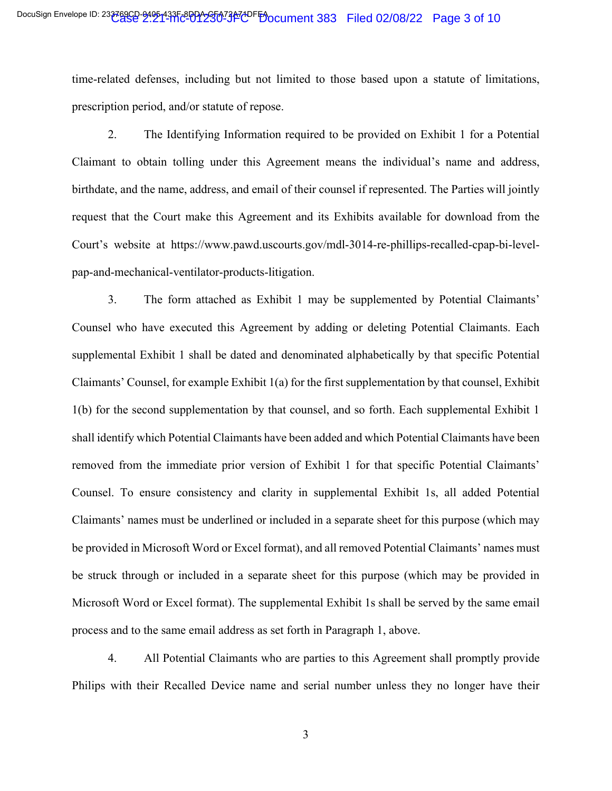time-related defenses, including but not limited to those based upon a statute of limitations, prescription period, and/or statute of repose.

2. The Identifying Information required to be provided on Exhibit 1 for a Potential Claimant to obtain tolling under this Agreement means the individual's name and address, birthdate, and the name, address, and email of their counsel if represented. The Parties will jointly request that the Court make this Agreement and its Exhibits available for download from the Court's website at https://www.pawd.uscourts.gov/mdl-3014-re-phillips-recalled-cpap-bi-levelpap-and-mechanical-ventilator-products-litigation.

3. The form attached as Exhibit 1 may be supplemented by Potential Claimants' Counsel who have executed this Agreement by adding or deleting Potential Claimants. Each supplemental Exhibit 1 shall be dated and denominated alphabetically by that specific Potential Claimants' Counsel, for example Exhibit 1(a) for the first supplementation by that counsel, Exhibit 1(b) for the second supplementation by that counsel, and so forth. Each supplemental Exhibit 1 shall identify which Potential Claimants have been added and which Potential Claimants have been removed from the immediate prior version of Exhibit 1 for that specific Potential Claimants' Counsel. To ensure consistency and clarity in supplemental Exhibit 1s, all added Potential Claimants' names must be underlined or included in a separate sheet for this purpose (which may be provided in Microsoft Word or Excel format), and all removed Potential Claimants' names must be struck through or included in a separate sheet for this purpose (which may be provided in Microsoft Word or Excel format). The supplemental Exhibit 1s shall be served by the same email process and to the same email address as set forth in Paragraph 1, above.

4. All Potential Claimants who are parties to this Agreement shall promptly provide Philips with their Recalled Device name and serial number unless they no longer have their

3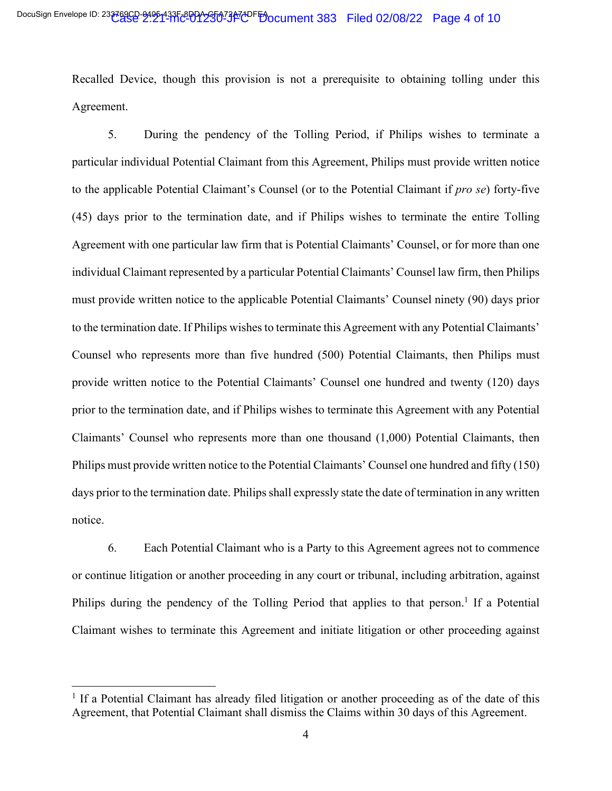Recalled Device, though this provision is not a prerequisite to obtaining tolling under this Agreement.

5. During the pendency of the Tolling Period, if Philips wishes to terminate a particular individual Potential Claimant from this Agreement, Philips must provide written notice to the applicable Potential Claimant's Counsel (or to the Potential Claimant if *pro se*) forty-five (45) days prior to the termination date, and if Philips wishes to terminate the entire Tolling Agreement with one particular law firm that is Potential Claimants' Counsel, or for more than one individual Claimant represented by a particular Potential Claimants' Counsel law firm, then Philips must provide written notice to the applicable Potential Claimants' Counsel ninety (90) days prior to the termination date. If Philips wishes to terminate this Agreement with any Potential Claimants' Counsel who represents more than five hundred (500) Potential Claimants, then Philips must provide written notice to the Potential Claimants' Counsel one hundred and twenty (120) days prior to the termination date, and if Philips wishes to terminate this Agreement with any Potential Claimants' Counsel who represents more than one thousand (1,000) Potential Claimants, then Philips must provide written notice to the Potential Claimants' Counsel one hundred and fifty (150) days prior to the termination date. Philips shall expressly state the date of termination in any written notice.

6. Each Potential Claimant who is a Party to this Agreement agrees not to commence or continue litigation or another proceeding in any court or tribunal, including arbitration, against Philips during the pendency of the Tolling Period that applies to that person.<sup>1</sup> If a Potential Claimant wishes to terminate this Agreement and initiate litigation or other proceeding against

<sup>&</sup>lt;sup>1</sup> If a Potential Claimant has already filed litigation or another proceeding as of the date of this Agreement, that Potential Claimant shall dismiss the Claims within 30 days of this Agreement.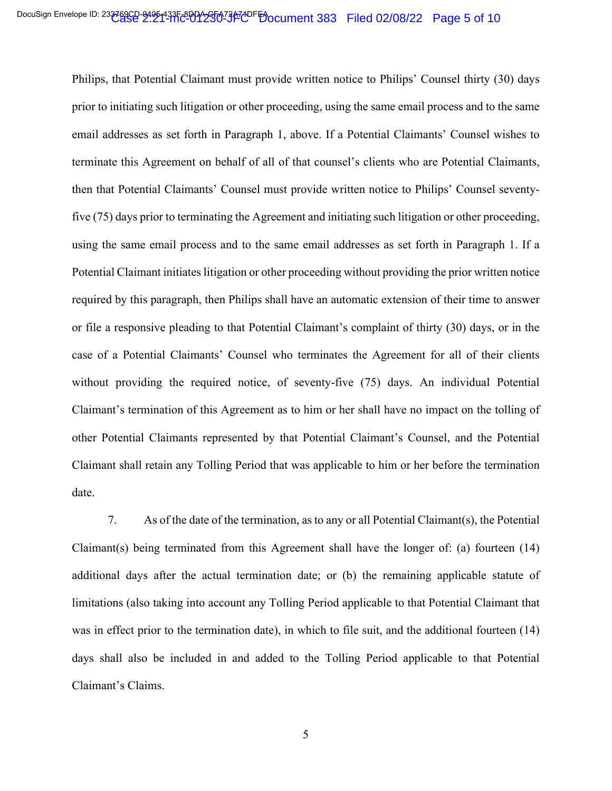Philips, that Potential Claimant must provide written notice to Philips' Counsel thirty (30) days prior to initiating such litigation or other proceeding, using the same email process and to the same email addresses as set forth in Paragraph 1, above. If a Potential Claimants' Counsel wishes to terminate this Agreement on behalf of all of that counsel's clients who are Potential Claimants, then that Potential Claimants' Counsel must provide written notice to Philips' Counsel seventyfive (75) days prior to terminating the Agreement and initiating such litigation or other proceeding, using the same email process and to the same email addresses as set forth in Paragraph 1. If a Potential Claimant initiates litigation or other proceeding without providing the prior written notice required by this paragraph, then Philips shall have an automatic extension of their time to answer or file a responsive pleading to that Potential Claimant's complaint of thirty (30) days, or in the case of a Potential Claimants' Counsel who terminates the Agreement for all of their clients without providing the required notice, of seventy-five (75) days. An individual Potential Claimant's termination of this Agreement as to him or her shall have no impact on the tolling of other Potential Claimants represented by that Potential Claimant's Counsel, and the Potential Claimant shall retain any Tolling Period that was applicable to him or her before the termination date.

7. As of the date of the termination, as to any or all Potential Claimant(s), the Potential Claimant(s) being terminated from this Agreement shall have the longer of: (a) fourteen (14) additional days after the actual termination date; or (b) the remaining applicable statute of limitations (also taking into account any Tolling Period applicable to that Potential Claimant that was in effect prior to the termination date), in which to file suit, and the additional fourteen (14) days shall also be included in and added to the Tolling Period applicable to that Potential Claimant's Claims.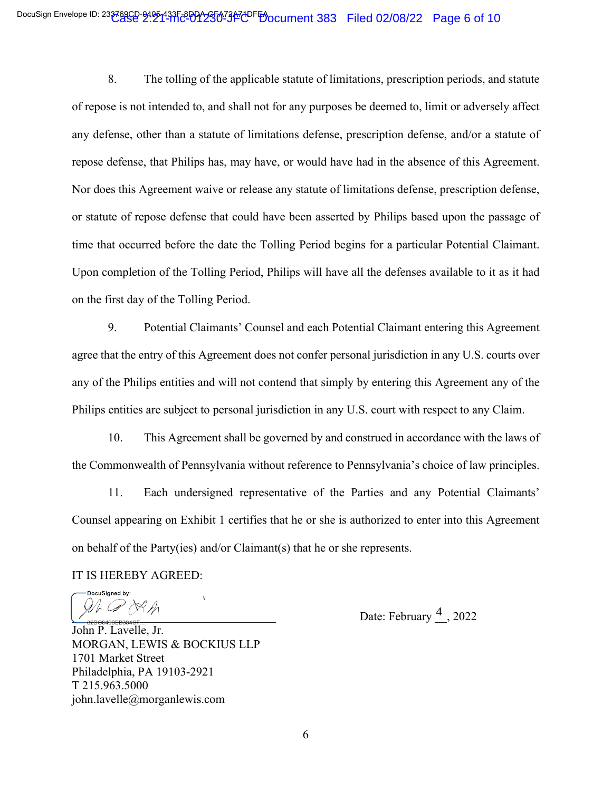8. The tolling of the applicable statute of limitations, prescription periods, and statute of repose is not intended to, and shall not for any purposes be deemed to, limit or adversely affect any defense, other than a statute of limitations defense, prescription defense, and/or a statute of repose defense, that Philips has, may have, or would have had in the absence of this Agreement. Nor does this Agreement waive or release any statute of limitations defense, prescription defense, or statute of repose defense that could have been asserted by Philips based upon the passage of time that occurred before the date the Tolling Period begins for a particular Potential Claimant. Upon completion of the Tolling Period, Philips will have all the defenses available to it as it had on the first day of the Tolling Period.

9. Potential Claimants' Counsel and each Potential Claimant entering this Agreement agree that the entry of this Agreement does not confer personal jurisdiction in any U.S. courts over any of the Philips entities and will not contend that simply by entering this Agreement any of the Philips entities are subject to personal jurisdiction in any U.S. court with respect to any Claim.

10. This Agreement shall be governed by and construed in accordance with the laws of the Commonwealth of Pennsylvania without reference to Pennsylvania's choice of law principles.

11. Each undersigned representative of the Parties and any Potential Claimants' Counsel appearing on Exhibit 1 certifies that he or she is authorized to enter into this Agreement on behalf of the Party(ies) and/or Claimant(s) that he or she represents.

IT IS HEREBY AGREED:

DocuSigned by:  $\overline{\mathscr{A}}$ 

 $\sqrt{\frac{4}{\pi}} \sqrt{\frac{8 \pi^2}{10000085 \times 10^{84} \text{ C}} \sqrt{\frac{4}{\pi^2}}}$ , 2022

John P. Lavelle, Jr. MORGAN, LEWIS & BOCKIUS LLP 1701 Market Street Philadelphia, PA 19103-2921 T 215.963.5000 john.lavelle@morganlewis.com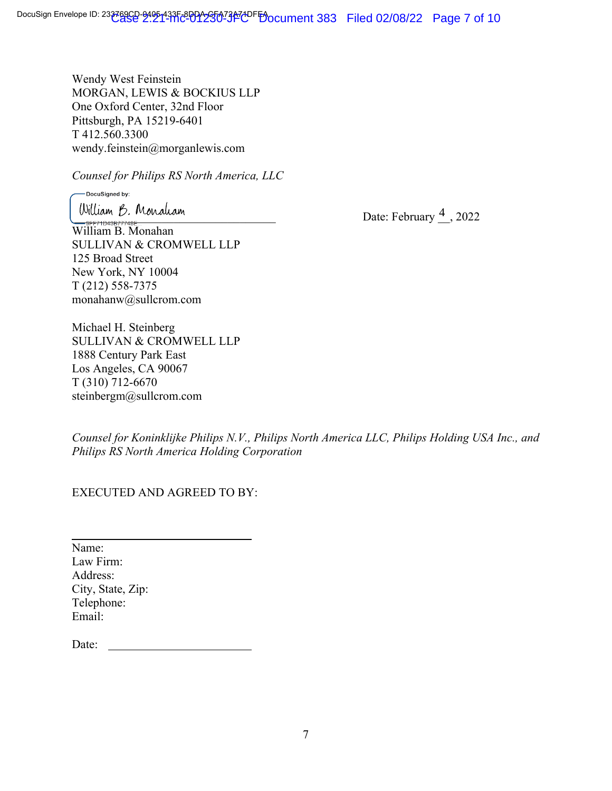Wendy West Feinstein MORGAN, LEWIS & BOCKIUS LLP One Oxford Center, 32nd Floor Pittsburgh, PA 15219-6401 T 412.560.3300 wendy.feinstein@morganlewis.com

*Counsel for Philips RS North America, LLC* 

DocuSigned by:

William B. Monahan SULLIVAN & CROMWELL LLP 125 Broad Street New York, NY 10004 T (212) 558-7375 monahanw@sullcrom.com

Michael H. Steinberg SULLIVAN & CROMWELL LLP 1888 Century Park East Los Angeles, CA 90067 T (310) 712-6670 steinbergm@sullcrom.com

 $\frac{1}{2}$  Mulliam  $\frac{1}{2}$ , Monaliam Date: February  $\frac{4}{2}$ , 2022

*Counsel for Koninklijke Philips N.V., Philips North America LLC, Philips Holding USA Inc., and Philips RS North America Holding Corporation*

EXECUTED AND AGREED TO BY:

 $\overline{a}$ Name: Law Firm: Address: City, State, Zip: Telephone: Email:

Date: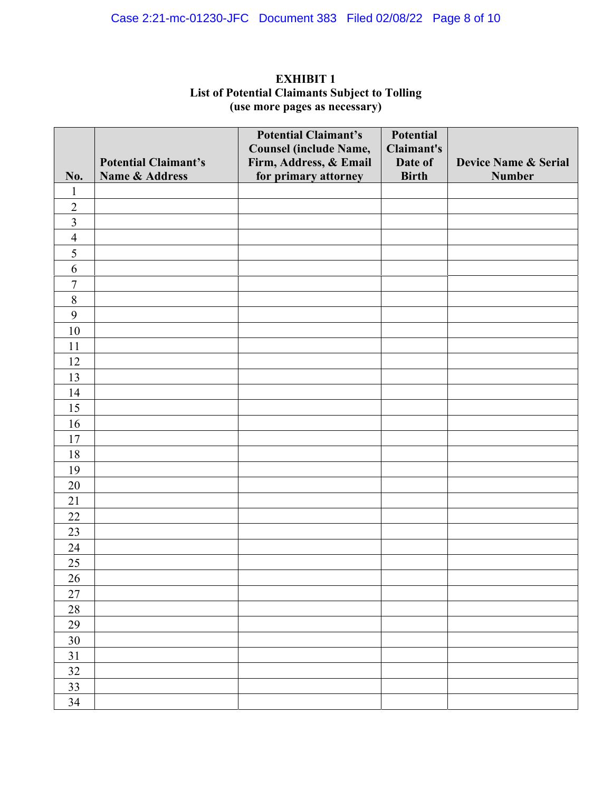| No.            | <b>Potential Claimant's</b><br>Name & Address | <b>Potential Claimant's</b><br><b>Counsel (include Name,</b><br>Firm, Address, & Email<br>for primary attorney | <b>Potential</b><br>Claimant's<br>Date of<br><b>Birth</b> | <b>Device Name &amp; Serial</b><br><b>Number</b> |
|----------------|-----------------------------------------------|----------------------------------------------------------------------------------------------------------------|-----------------------------------------------------------|--------------------------------------------------|
| $\mathbf{1}$   |                                               |                                                                                                                |                                                           |                                                  |
| $\sqrt{2}$     |                                               |                                                                                                                |                                                           |                                                  |
| $\overline{3}$ |                                               |                                                                                                                |                                                           |                                                  |
| $\overline{4}$ |                                               |                                                                                                                |                                                           |                                                  |
| $\sqrt{5}$     |                                               |                                                                                                                |                                                           |                                                  |
| 6              |                                               |                                                                                                                |                                                           |                                                  |
| $\overline{7}$ |                                               |                                                                                                                |                                                           |                                                  |
| $8\,$          |                                               |                                                                                                                |                                                           |                                                  |
| 9              |                                               |                                                                                                                |                                                           |                                                  |
| 10             |                                               |                                                                                                                |                                                           |                                                  |
| 11             |                                               |                                                                                                                |                                                           |                                                  |
| 12             |                                               |                                                                                                                |                                                           |                                                  |
| 13             |                                               |                                                                                                                |                                                           |                                                  |
| 14             |                                               |                                                                                                                |                                                           |                                                  |
| 15             |                                               |                                                                                                                |                                                           |                                                  |
| 16             |                                               |                                                                                                                |                                                           |                                                  |
| 17             |                                               |                                                                                                                |                                                           |                                                  |
| 18             |                                               |                                                                                                                |                                                           |                                                  |
| 19             |                                               |                                                                                                                |                                                           |                                                  |
| 20             |                                               |                                                                                                                |                                                           |                                                  |
| 21             |                                               |                                                                                                                |                                                           |                                                  |
| $22\,$         |                                               |                                                                                                                |                                                           |                                                  |
| 23             |                                               |                                                                                                                |                                                           |                                                  |
| 24             |                                               |                                                                                                                |                                                           |                                                  |
| 25             |                                               |                                                                                                                |                                                           |                                                  |
| 26             |                                               |                                                                                                                |                                                           |                                                  |
| $27\,$         |                                               |                                                                                                                |                                                           |                                                  |
| $28\,$         |                                               |                                                                                                                |                                                           |                                                  |
| 29             |                                               |                                                                                                                |                                                           |                                                  |
| $30\,$         |                                               |                                                                                                                |                                                           |                                                  |
| $31\,$         |                                               |                                                                                                                |                                                           |                                                  |
| 32             |                                               |                                                                                                                |                                                           |                                                  |
| 33             |                                               |                                                                                                                |                                                           |                                                  |
| 34             |                                               |                                                                                                                |                                                           |                                                  |

### **EXHIBIT 1 List of Potential Claimants Subject to Tolling (use more pages as necessary)**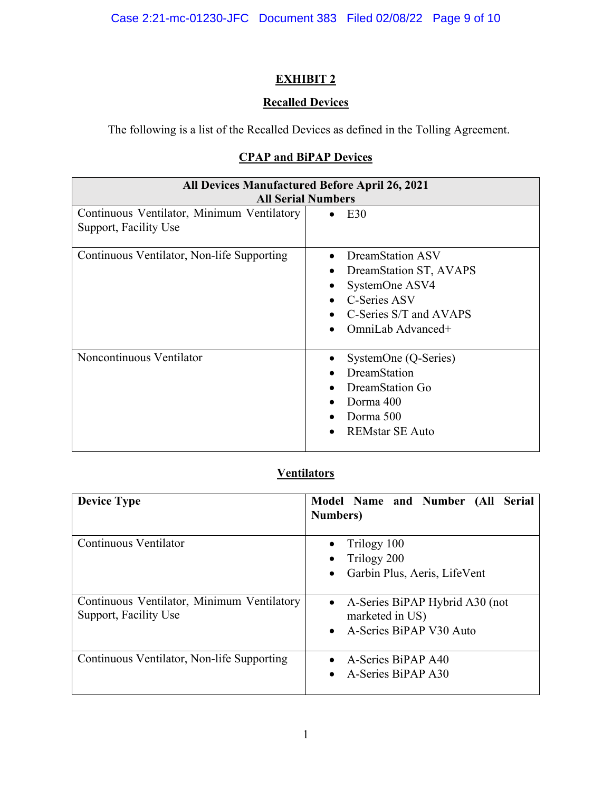# **EXHIBIT 2**

# **Recalled Devices**

The following is a list of the Recalled Devices as defined in the Tolling Agreement.

# **CPAP and BiPAP Devices**

| <b>All Devices Manufactured Before April 26, 2021</b><br><b>All Serial Numbers</b> |                                                                                                                                                                   |  |  |  |
|------------------------------------------------------------------------------------|-------------------------------------------------------------------------------------------------------------------------------------------------------------------|--|--|--|
| Continuous Ventilator, Minimum Ventilatory<br>Support, Facility Use                | E30<br>$\bullet$                                                                                                                                                  |  |  |  |
| Continuous Ventilator, Non-life Supporting                                         | DreamStation ASV<br>$\bullet$<br>DreamStation ST, AVAPS<br>٠<br>SystemOne ASV4<br><b>C-Series ASV</b><br>$\bullet$<br>C-Series S/T and AVAPS<br>OmniLab Advanced+ |  |  |  |
| Noncontinuous Ventilator                                                           | SystemOne (Q-Series)<br>DreamStation<br>$\bullet$<br>DreamStation Go<br>Dorma 400<br>$\bullet$<br>Dorma 500<br>$\bullet$<br>REMstar SE Auto                       |  |  |  |

### **Ventilators**

| <b>Device Type</b>                                                  | Model Name and Number (All Serial<br><b>Numbers</b> )                                                  |
|---------------------------------------------------------------------|--------------------------------------------------------------------------------------------------------|
| Continuous Ventilator                                               | Trilogy 100<br>Trilogy 200<br>Garbin Plus, Aeris, LifeVent                                             |
| Continuous Ventilator, Minimum Ventilatory<br>Support, Facility Use | A-Series BiPAP Hybrid A30 (not<br>$\bullet$<br>marketed in US)<br>A-Series BiPAP V30 Auto<br>$\bullet$ |
| Continuous Ventilator, Non-life Supporting                          | A-Series BiPAP A40<br>$\bullet$<br>A-Series BiPAP A30<br>$\bullet$                                     |